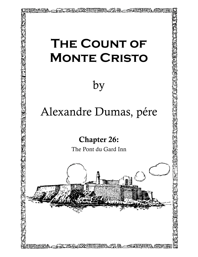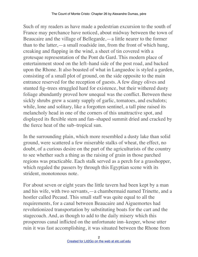Such of my readers as have made a pedestrian excursion to the south of France may perchance have noticed, about midway between the town of Beaucaire and the village of Bellegarde,—a little nearer to the former than to the latter,—a small roadside inn, from the front of which hung, creaking and flapping in the wind, a sheet of tin covered with a grotesque representation of the Pont du Gard. This modern place of entertainment stood on the left–hand side of the post road, and backed upon the Rhone. It also boasted of what in Languedoc is styled a garden, consisting of a small plot of ground, on the side opposite to the main entrance reserved for the reception of guests. A few dingy olives and stunted fig–trees struggled hard for existence, but their withered dusty foliage abundantly proved how unequal was the conflict. Between these sickly shrubs grew a scanty supply of garlic, tomatoes, and eschalots; while, lone and solitary, like a forgotten sentinel, a tall pine raised its melancholy head in one of the corners of this unattractive spot, and displayed its flexible stem and fan–shaped summit dried and cracked by the fierce heat of the sub–tropical sun.

In the surrounding plain, which more resembled a dusty lake than solid ground, were scattered a few miserable stalks of wheat, the effect, no doubt, of a curious desire on the part of the agriculturists of the country to see whether such a thing as the raising of grain in those parched regions was practicable. Each stalk served as a perch for a grasshopper, which regaled the passers by through this Egyptian scene with its strident, monotonous note.

For about seven or eight years the little tavern had been kept by a man and his wife, with two servants,—a chambermaid named Trinette, and a hostler called Pecaud. This small staff was quite equal to all the requirements, for a canal between Beaucaire and Aiguemortes had revolutionized transportation by substituting boats for the cart and the stagecoach. And, as though to add to the daily misery which this prosperous canal inflicted on the unfortunate inn–keeper, whose utter ruin it was fast accomplishing, it was situated between the Rhone from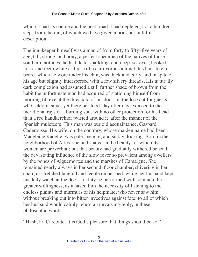which it had its source and the post–road it had depleted, not a hundred steps from the inn, of which we have given a brief but faithful description.

The inn–keeper himself was a man of from forty to fifty–five years of age, tall, strong, and bony, a perfect specimen of the natives of those southern latitudes; he had dark, sparkling, and deep–set eyes, hooked nose, and teeth white as those of a carnivorous animal; his hair, like his beard, which he wore under his chin, was thick and curly, and in spite of his age but slightly interspersed with a few silvery threads. His naturally dark complexion had assumed a still further shade of brown from the habit the unfortunate man had acquired of stationing himself from morning till eve at the threshold of his door, on the lookout for guests who seldom came, yet there he stood, day after day, exposed to the meridional rays of a burning sun, with no other protection for his head than a red handkerchief twisted around it, after the manner of the Spanish muleteers. This man was our old acquaintance, Gaspard Caderousse. His wife, on the contrary, whose maiden name had been Madeleine Radelle, was pale, meagre, and sickly–looking. Born in the neighborhood of Arles, she had shared in the beauty for which its women are proverbial; but that beauty had gradually withered beneath the devastating influence of the slow fever so prevalent among dwellers by the ponds of Aiguemortes and the marshes of Camargue. She remained nearly always in her second–floor chamber, shivering in her chair, or stretched languid and feeble on her bed, while her husband kept his daily watch at the door—a duty he performed with so much the greater willingness, as it saved him the necessity of listening to the endless plaints and murmurs of his helpmate, who never saw him without breaking out into bitter invectives against fate; to all of which her husband would calmly return an unvarying reply, in these philosophic words:—

"Hush, La Carconte. It is God's pleasure that things should be so."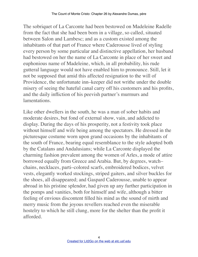The sobriquet of La Carconte had been bestowed on Madeleine Radelle from the fact that she had been born in a village, so called, situated between Salon and Lambesc; and as a custom existed among the inhabitants of that part of France where Caderousse lived of styling every person by some particular and distinctive appellation, her husband had bestowed on her the name of La Carconte in place of her sweet and euphonious name of Madeleine, which, in all probability, his rude gutteral language would not have enabled him to pronounce. Still, let it not be supposed that amid this affected resignation to the will of Providence, the unfortunate inn–keeper did not writhe under the double misery of seeing the hateful canal carry off his customers and his profits, and the daily infliction of his peevish partner's murmurs and lamentations.

Like other dwellers in the south, he was a man of sober habits and moderate desires, but fond of external show, vain, and addicted to display. During the days of his prosperity, not a festivity took place without himself and wife being among the spectators. He dressed in the picturesque costume worn upon grand occasions by the inhabitants of the south of France, bearing equal resemblance to the style adopted both by the Catalans and Andalusians; while La Carconte displayed the charming fashion prevalent among the women of Arles, a mode of attire borrowed equally from Greece and Arabia. But, by degrees, watch– chains, necklaces, parti–colored scarfs, embroidered bodices, velvet vests, elegantly worked stockings, striped gaiters, and silver buckles for the shoes, all disappeared; and Gaspard Caderousse, unable to appear abroad in his pristine splendor, had given up any further participation in the pomps and vanities, both for himself and wife, although a bitter feeling of envious discontent filled his mind as the sound of mirth and merry music from the joyous revellers reached even the miserable hostelry to which he still clung, more for the shelter than the profit it afforded.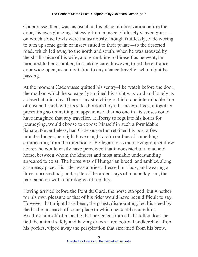Caderousse, then, was, as usual, at his place of observation before the door, his eyes glancing listlessly from a piece of closely shaven grass on which some fowls were industriously, though fruitlessly, endeavoring to turn up some grain or insect suited to their palate—to the deserted road, which led away to the north and south, when he was aroused by the shrill voice of his wife, and grumbling to himself as he went, he mounted to her chamber, first taking care, however, to set the entrance door wide open, as an invitation to any chance traveller who might be passing.

At the moment Caderousse quitted his sentry–like watch before the door, the road on which he so eagerly strained his sight was void and lonely as a desert at mid–day. There it lay stretching out into one interminable line of dust and sand, with its sides bordered by tall, meagre trees, altogether presenting so uninviting an appearance, that no one in his senses could have imagined that any traveller, at liberty to regulate his hours for journeying, would choose to expose himself in such a formidable Sahara. Nevertheless, had Caderousse but retained his post a few minutes longer, he might have caught a dim outline of something approaching from the direction of Bellegarde; as the moving object drew nearer, he would easily have perceived that it consisted of a man and horse, between whom the kindest and most amiable understanding appeared to exist. The horse was of Hungarian breed, and ambled along at an easy pace. His rider was a priest, dressed in black, and wearing a three–cornered hat; and, spite of the ardent rays of a noonday sun, the pair came on with a fair degree of rapidity.

Having arrived before the Pont du Gard, the horse stopped, but whether for his own pleasure or that of his rider would have been difficult to say. However that might have been, the priest, dismounting, led his steed by the bridle in search of some place to which he could secure him. Availing himself of a handle that projected from a half–fallen door, he tied the animal safely and having drawn a red cotton handkerchief, from his pocket, wiped away the perspiration that streamed from his brow,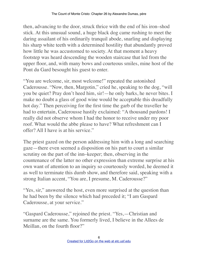then, advancing to the door, struck thrice with the end of his iron–shod stick. At this unusual sound, a huge black dog came rushing to meet the daring assailant of his ordinarily tranquil abode, snarling and displaying his sharp white teeth with a determined hostility that abundantly proved how little he was accustomed to society. At that moment a heavy footstep was heard descending the wooden staircase that led from the upper floor, and, with many bows and courteous smiles, mine host of the Pont du Gard besought his guest to enter.

"You are welcome, sir, most welcome!" repeated the astonished Caderousse. "Now, then, Margotin," cried he, speaking to the dog, "will you be quiet? Pray don't heed him, sir!—he only barks, he never bites. I make no doubt a glass of good wine would be acceptable this dreadfully hot day." Then perceiving for the first time the garb of the traveller he had to entertain, Caderousse hastily exclaimed: "A thousand pardons! I really did not observe whom I had the honor to receive under my poor roof. What would the abbe please to have? What refreshment can I offer? All I have is at his service."

The priest gazed on the person addressing him with a long and searching gaze—there even seemed a disposition on his part to court a similar scrutiny on the part of the inn–keeper; then, observing in the countenance of the latter no other expression than extreme surprise at his own want of attention to an inquiry so courteously worded, he deemed it as well to terminate this dumb show, and therefore said, speaking with a strong Italian accent, "You are, I presume, M. Caderousse?"

"Yes, sir," answered the host, even more surprised at the question than he had been by the silence which had preceded it; "I am Gaspard Caderousse, at your service."

"Gaspard Caderousse," rejoined the priest. "Yes,—Christian and surname are the same. You formerly lived, I believe in the Allees de Meillan, on the fourth floor?"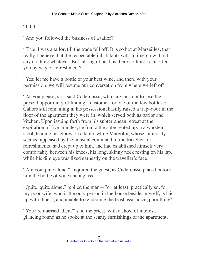"I did."

"And you followed the business of a tailor?"

"True, I was a tailor, till the trade fell off. It is so hot at Marseilles, that really I believe that the respectable inhabitants will in time go without any clothing whatever. But talking of heat, is there nothing I can offer you by way of refreshment?"

"Yes; let me have a bottle of your best wine, and then, with your permission, we will resume our conversation from where we left off."

"As you please, sir," said Caderousse, who, anxious not to lose the present opportunity of finding a customer for one of the few bottles of Cahors still remaining in his possession, hastily raised a trap–door in the floor of the apartment they were in, which served both as parlor and kitchen. Upon issuing forth from his subterranean retreat at the expiration of five minutes, he found the abbe seated upon a wooden stool, leaning his elbow on a table, while Margotin, whose animosity seemed appeased by the unusual command of the traveller for refreshments, had crept up to him, and had established himself very comfortably between his knees, his long, skinny neck resting on his lap, while his dim eye was fixed earnestly on the traveller's face.

"Are you quite alone?" inquired the guest, as Caderousse placed before him the bottle of wine and a glass.

"Quite, quite alone," replied the man—"or, at least, practically so, for my poor wife, who is the only person in the house besides myself, is laid up with illness, and unable to render me the least assistance, poor thing!"

"You are married, then?" said the priest, with a show of interest, glancing round as he spoke at the scanty furnishings of the apartment.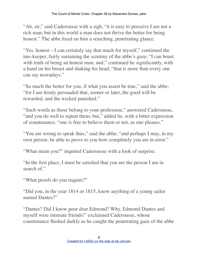"Ah, sir," said Caderousse with a sigh, "it is easy to perceive I am not a rich man; but in this world a man does not thrive the better for being honest." The abbe fixed on him a searching, penetrating glance.

"Yes, honest—I can certainly say that much for myself," continued the inn–keeper, fairly sustaining the scrutiny of the abbe's gaze; "I can boast with truth of being an honest man; and," continued he significantly, with a hand on his breast and shaking his head, "that is more than every one can say nowadays."

"So much the better for you, if what you assert be true," said the abbe; "for I am firmly persuaded that, sooner or later, the good will be rewarded, and the wicked punished."

"Such words as those belong to your profession," answered Caderousse, "and you do well to repeat them; but," added he, with a bitter expression of countenance, "one is free to believe them or not, as one pleases."

"You are wrong to speak thus," said the abbe; "and perhaps I may, in my own person, be able to prove to you how completely you are in error."

"What mean you?" inquired Caderousse with a look of surprise.

"In the first place, I must be satisfied that you are the person I am in search of."

"What proofs do you require?"

"Did you, in the year 1814 or 1815, know anything of a young sailor named Dantes?"

"Dantes? Did I know poor dear Edmond? Why, Edmond Dantes and myself were intimate friends!" exclaimed Caderousse, whose countenance flushed darkly as he caught the penetrating gaze of the abbe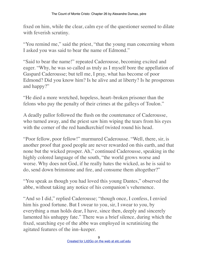fixed on him, while the clear, calm eye of the questioner seemed to dilate with feverish scrutiny.

"You remind me," said the priest, "that the young man concerning whom I asked you was said to bear the name of Edmond."

"Said to bear the name!" repeated Caderousse, becoming excited and eager. "Why, he was so called as truly as I myself bore the appellation of Gaspard Caderousse; but tell me, I pray, what has become of poor Edmond? Did you know him? Is he alive and at liberty? Is he prosperous and happy?"

"He died a more wretched, hopeless, heart–broken prisoner than the felons who pay the penalty of their crimes at the galleys of Toulon."

A deadly pallor followed the flush on the countenance of Caderousse, who turned away, and the priest saw him wiping the tears from his eyes with the corner of the red handkerchief twisted round his head.

"Poor fellow, poor fellow!" murmured Caderousse. "Well, there, sir, is another proof that good people are never rewarded on this earth, and that none but the wicked prosper. Ah," continued Caderousse, speaking in the highly colored language of the south, "the world grows worse and worse. Why does not God, if he really hates the wicked, as he is said to do, send down brimstone and fire, and consume them altogether?"

"You speak as though you had loved this young Dantes," observed the abbe, without taking any notice of his companion's vehemence.

"And so I did," replied Caderousse; "though once, I confess, I envied him his good fortune. But I swear to you, sir, I swear to you, by everything a man holds dear, I have, since then, deeply and sincerely lamented his unhappy fate." There was a brief silence, during which the fixed, searching eye of the abbe was employed in scrutinizing the agitated features of the inn–keeper.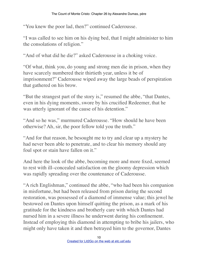"You knew the poor lad, then?" continued Caderousse.

"I was called to see him on his dying bed, that I might administer to him the consolations of religion."

"And of what did he die?" asked Caderousse in a choking voice.

"Of what, think you, do young and strong men die in prison, when they have scarcely numbered their thirtieth year, unless it be of imprisonment?" Caderousse wiped away the large beads of perspiration that gathered on his brow.

"But the strangest part of the story is," resumed the abbe, "that Dantes, even in his dying moments, swore by his crucified Redeemer, that he was utterly ignorant of the cause of his detention."

"And so he was," murmured Caderousse. "How should he have been otherwise? Ah, sir, the poor fellow told you the truth."

"And for that reason, he besought me to try and clear up a mystery he had never been able to penetrate, and to clear his memory should any foul spot or stain have fallen on it."

And here the look of the abbe, becoming more and more fixed, seemed to rest with ill–concealed satisfaction on the gloomy depression which was rapidly spreading over the countenance of Caderousse.

"A rich Englishman," continued the abbe, "who had been his companion in misfortune, but had been released from prison during the second restoration, was possessed of a diamond of immense value; this jewel he bestowed on Dantes upon himself quitting the prison, as a mark of his gratitude for the kindness and brotherly care with which Dantes had nursed him in a severe illness he underwent during his confinement. Instead of employing this diamond in attempting to bribe his jailers, who might only have taken it and then betrayed him to the governor, Dantes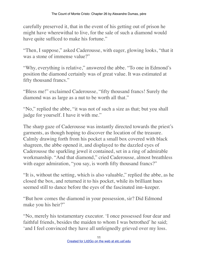carefully preserved it, that in the event of his getting out of prison he might have wherewithal to live, for the sale of such a diamond would have quite sufficed to make his fortune."

"Then, I suppose," asked Caderousse, with eager, glowing looks, "that it was a stone of immense value?"

"Why, everything is relative," answered the abbe. "To one in Edmond's position the diamond certainly was of great value. It was estimated at fifty thousand francs."

"Bless me!" exclaimed Caderousse, "fifty thousand francs! Surely the diamond was as large as a nut to be worth all that."

"No," replied the abbe, "it was not of such a size as that; but you shall judge for yourself. I have it with me."

The sharp gaze of Caderousse was instantly directed towards the priest's garments, as though hoping to discover the location of the treasure. Calmly drawing forth from his pocket a small box covered with black shagreen, the abbe opened it, and displayed to the dazzled eyes of Caderousse the sparkling jewel it contained, set in a ring of admirable workmanship. "And that diamond," cried Caderousse, almost breathless with eager admiration, "you say, is worth fifty thousand francs?"

"It is, without the setting, which is also valuable," replied the abbe, as he closed the box, and returned it to his pocket, while its brilliant hues seemed still to dance before the eyes of the fascinated inn–keeper.

"But how comes the diamond in your possession, sir? Did Edmond make you his heir?"

"No, merely his testamentary executor. 'I once possessed four dear and faithful friends, besides the maiden to whom I was betrothed' he said; 'and I feel convinced they have all unfeignedly grieved over my loss.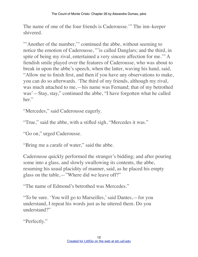The name of one of the four friends is Caderousse.'" The inn–keeper shivered.

"'Another of the number," continued the abbe, without seeming to notice the emotion of Caderousse, "'is called Danglars; and the third, in spite of being my rival, entertained a very sincere affection for me.'" A fiendish smile played over the features of Caderousse, who was about to break in upon the abbe's speech, when the latter, waving his hand, said, "Allow me to finish first, and then if you have any observations to make, you can do so afterwards. 'The third of my friends, although my rival, was much attached to me,—his name was Fernand; that of my betrothed was'—Stay, stay," continued the abbe, "I have forgotten what he called her."

"Mercedes," said Caderousse eagerly.

"True," said the abbe, with a stifled sigh, "Mercedes it was."

"Go on," urged Caderousse.

"Bring me a carafe of water," said the abbe.

Caderousse quickly performed the stranger's bidding; and after pouring some into a glass, and slowly swallowing its contents, the abbe, resuming his usual placidity of manner, said, as he placed his empty glass on the table,—"Where did we leave off?"

"The name of Edmond's betrothed was Mercedes."

"To be sure. 'You will go to Marseilles,' said Dantes,—for you understand, I repeat his words just as he uttered them. Do you understand?"

"Perfectly."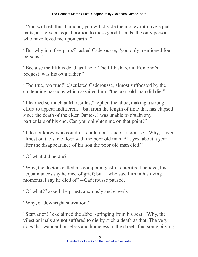"'You will sell this diamond; you will divide the money into five equal parts, and give an equal portion to these good friends, the only persons who have loved me upon earth."

"But why into five parts?" asked Caderousse; "you only mentioned four persons."

"Because the fifth is dead, as I hear. The fifth sharer in Edmond's bequest, was his own father."

"Too true, too true!" ejaculated Caderousse, almost suffocated by the contending passions which assailed him, "the poor old man did die."

"I learned so much at Marseilles," replied the abbe, making a strong effort to appear indifferent; "but from the length of time that has elapsed since the death of the elder Dantes, I was unable to obtain any particulars of his end. Can you enlighten me on that point?"

"I do not know who could if I could not," said Caderousse. "Why, I lived almost on the same floor with the poor old man. Ah, yes, about a year after the disappearance of his son the poor old man died."

"Of what did he die?"

"Why, the doctors called his complaint gastro–enteritis, I believe; his acquaintances say he died of grief; but I, who saw him in his dying moments, I say he died of"—Caderousse paused.

"Of what?" asked the priest, anxiously and eagerly.

"Why, of downright starvation."

"Starvation!" exclaimed the abbe, springing from his seat. "Why, the vilest animals are not suffered to die by such a death as that. The very dogs that wander houseless and homeless in the streets find some pitying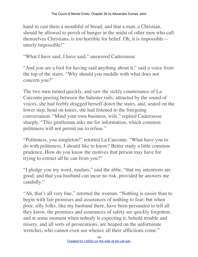hand to cast them a mouthful of bread; and that a man, a Christian, should be allowed to perish of hunger in the midst of other men who call themselves Christians, is too horrible for belief. Oh, it is impossible utterly impossible!"

"What I have said, I have said," answered Caderousse.

"And you are a fool for having said anything about it," said a voice from the top of the stairs. "Why should you meddle with what does not concern you?"

The two men turned quickly, and saw the sickly countenance of La Carconte peering between the baluster rails; attracted by the sound of voices, she had feebly dragged herself down the stairs, and, seated on the lower step, head on knees, she had listened to the foregoing conversation. "Mind your own business, wife," replied Caderousse sharply. "This gentleman asks me for information, which common politeness will not permit me to refuse."

"Politeness, you simpleton!" retorted La Carconte. "What have you to do with politeness, I should like to know? Better study a little common prudence. How do you know the motives that person may have for trying to extract all he can from you?"

"I pledge you my word, madam," said the abbe, "that my intentions are good; and that you husband can incur no risk, provided he answers me candidly."

"Ah, that's all very fine," retorted the woman. "Nothing is easier than to begin with fair promises and assurances of nothing to fear; but when poor, silly folks, like my husband there, have been persuaded to tell all they know, the promises and assurances of safety are quickly forgotten; and at some moment when nobody is expecting it, behold trouble and misery, and all sorts of persecutions, are heaped on the unfortunate wretches, who cannot even see whence all their afflictions come."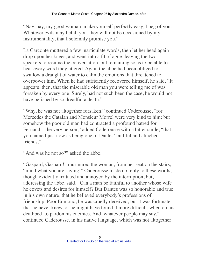"Nay, nay, my good woman, make yourself perfectly easy, I beg of you. Whatever evils may befall you, they will not be occasioned by my instrumentality, that I solemnly promise you."

La Carconte muttered a few inarticulate words, then let her head again drop upon her knees, and went into a fit of ague, leaving the two speakers to resume the conversation, but remaining so as to be able to hear every word they uttered. Again the abbe had been obliged to swallow a draught of water to calm the emotions that threatened to overpower him. When he had sufficiently recovered himself, he said, "It appears, then, that the miserable old man you were telling me of was forsaken by every one. Surely, had not such been the case, he would not have perished by so dreadful a death."

"Why, he was not altogether forsaken," continued Caderousse, "for Mercedes the Catalan and Monsieur Morrel were very kind to him; but somehow the poor old man had contracted a profound hatred for Fernand—the very person," added Caderousse with a bitter smile, "that you named just now as being one of Dantes' faithful and attached friends."

"And was he not so?" asked the abbe.

"Gaspard, Gaspard!" murmured the woman, from her seat on the stairs, "mind what you are saying!" Caderousse made no reply to these words, though evidently irritated and annoyed by the interruption, but, addressing the abbe, said, "Can a man be faithful to another whose wife he covets and desires for himself? But Dantes was so honorable and true in his own nature, that he believed everybody's professions of friendship. Poor Edmond, he was cruelly deceived; but it was fortunate that he never knew, or he might have found it more difficult, when on his deathbed, to pardon his enemies. And, whatever people may say," continued Caderousse, in his native language, which was not altogether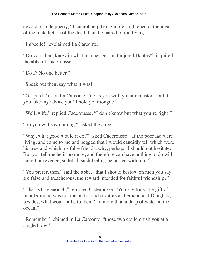devoid of rude poetry, "I cannot help being more frightened at the idea of the malediction of the dead than the hatred of the living."

"Imbecile!" exclaimed La Carconte.

"Do you, then, know in what manner Fernand injured Dantes?" inquired the abbe of Caderousse.

"Do I? No one better."

"Speak out then, say what it was!"

"Gaspard!" cried La Carconte, "do as you will; you are master—but if you take my advice you'll hold your tongue."

"Well, wife," replied Caderousse, "I don't know but what you're right!"

"So you will say nothing?" asked the abbe.

"Why, what good would it do?" asked Caderousse. "If the poor lad were living, and came to me and begged that I would candidly tell which were his true and which his false friends, why, perhaps, I should not hesitate. But you tell me he is no more, and therefore can have nothing to do with hatred or revenge, so let all such feeling be buried with him."

"You prefer, then," said the abbe, "that I should bestow on men you say are false and treacherous, the reward intended for faithful friendship?"

"That is true enough," returned Caderousse. "You say truly, the gift of poor Edmond was not meant for such traitors as Fernand and Danglars; besides, what would it be to them? no more than a drop of water in the ocean."

"Remember," chimed in La Carconte, "those two could crush you at a single blow!"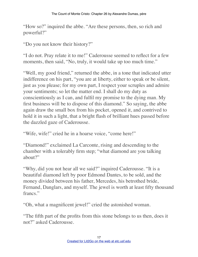"How so?" inquired the abbe. "Are these persons, then, so rich and powerful?"

"Do you not know their history?"

"I do not. Pray relate it to me!" Caderousse seemed to reflect for a few moments, then said, "No, truly, it would take up too much time."

"Well, my good friend," returned the abbe, in a tone that indicated utter indifference on his part, "you are at liberty, either to speak or be silent, just as you please; for my own part, I respect your scruples and admire your sentiments; so let the matter end. I shall do my duty as conscientiously as I can, and fulfil my promise to the dying man. My first business will be to dispose of this diamond." So saying, the abbe again draw the small box from his pocket, opened it, and contrived to hold it in such a light, that a bright flash of brilliant hues passed before the dazzled gaze of Caderousse.

"Wife, wife!" cried he in a hoarse voice, "come here!"

"Diamond!" exclaimed La Carconte, rising and descending to the chamber with a tolerably firm step; "what diamond are you talking about?"

"Why, did you not hear all we said?" inquired Caderousse. "It is a beautiful diamond left by poor Edmond Dantes, to be sold, and the money divided between his father, Mercedes, his betrothed bride, Fernand, Danglars, and myself. The jewel is worth at least fifty thousand francs"

"Oh, what a magnificent jewel!" cried the astonished woman.

"The fifth part of the profits from this stone belongs to us then, does it not?" asked Caderousse.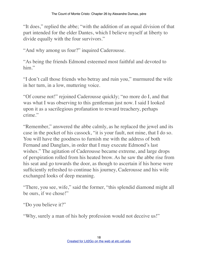"It does," replied the abbe; "with the addition of an equal division of that part intended for the elder Dantes, which I believe myself at liberty to divide equally with the four survivors."

"And why among us four?" inquired Caderousse.

"As being the friends Edmond esteemed most faithful and devoted to him"

"I don't call those friends who betray and ruin you," murmured the wife in her turn, in a low, muttering voice.

"Of course not!" rejoined Caderousse quickly; "no more do I, and that was what I was observing to this gentleman just now. I said I looked upon it as a sacrilegious profanation to reward treachery, perhaps crime."

"Remember," answered the abbe calmly, as he replaced the jewel and its case in the pocket of his cassock, "it is your fault, not mine, that I do so. You will have the goodness to furnish me with the address of both Fernand and Danglars, in order that I may execute Edmond's last wishes." The agitation of Caderousse became extreme, and large drops of perspiration rolled from his heated brow. As he saw the abbe rise from his seat and go towards the door, as though to ascertain if his horse were sufficiently refreshed to continue his journey, Caderousse and his wife exchanged looks of deep meaning.

"There, you see, wife," said the former, "this splendid diamond might all be ours, if we chose!"

"Do you believe it?"

"Why, surely a man of his holy profession would not deceive us!"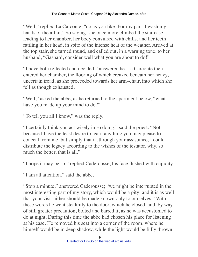"Well," replied La Carconte, "do as you like. For my part, I wash my hands of the affair." So saying, she once more climbed the staircase leading to her chamber, her body convulsed with chills, and her teeth rattling in her head, in spite of the intense heat of the weather. Arrived at the top stair, she turned round, and called out, in a warning tone, to her husband, "Gaspard, consider well what you are about to do!"

"I have both reflected and decided," answered he. La Carconte then entered her chamber, the flooring of which creaked beneath her heavy, uncertain tread, as she proceeded towards her arm–chair, into which she fell as though exhausted.

"Well," asked the abbe, as he returned to the apartment below, "what have you made up your mind to do?"

"To tell you all I know," was the reply.

"I certainly think you act wisely in so doing," said the priest. "Not because I have the least desire to learn anything you may please to conceal from me, but simply that if, through your assistance, I could distribute the legacy according to the wishes of the testator, why, so much the better, that is all."

"I hope it may be so," replied Caderousse, his face flushed with cupidity.

"I am all attention," said the abbe.

"Stop a minute," answered Caderousse; "we might be interrupted in the most interesting part of my story, which would be a pity; and it is as well that your visit hither should be made known only to ourselves." With these words he went stealthily to the door, which he closed, and, by way of still greater precaution, bolted and barred it, as he was accustomed to do at night. During this time the abbe had chosen his place for listening at his ease. He removed his seat into a corner of the room, where he himself would be in deep shadow, while the light would be fully thrown